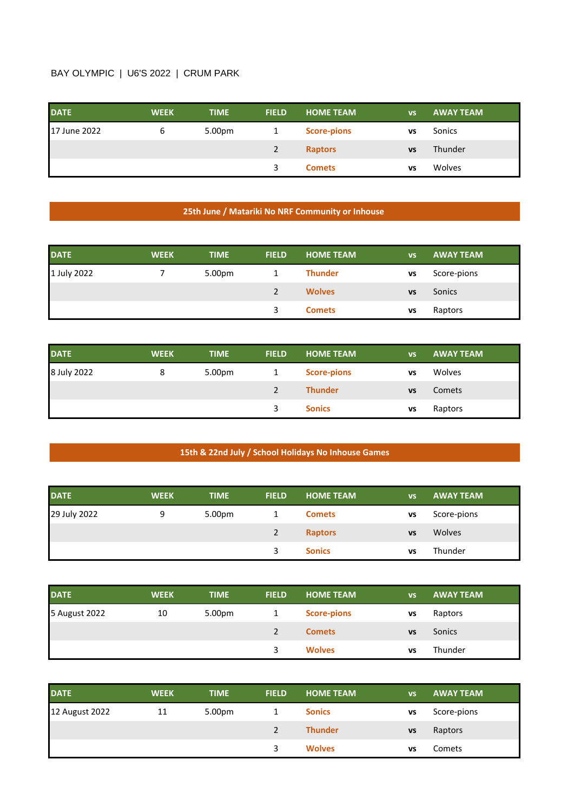## BAY OLYMPIC | U6'S 2022 | CRUM PARK

| <b>DATE</b>  | <b>WEEK</b> | <b>TIME</b> | <b>FIELD</b> | <b>HOME TEAM</b>   | <b>VS</b> | <b>AWAY TEAM</b> |
|--------------|-------------|-------------|--------------|--------------------|-----------|------------------|
| 17 June 2022 | ь           | 5.00pm      |              | <b>Score-pions</b> | <b>VS</b> | Sonics           |
|              |             |             | 2            | <b>Raptors</b>     | <b>VS</b> | Thunder          |
|              |             |             |              | <b>Comets</b>      | VS        | Wolves           |

## **25th June / Matariki No NRF Community or Inhouse**

| <b>DATE</b> | <b>WEEK</b> | <b>TIME</b> | <b>FIELD</b>  | <b>HOME TEAM</b> | <b>VS</b> | <b>AWAY TEAM</b> |
|-------------|-------------|-------------|---------------|------------------|-----------|------------------|
| 1 July 2022 |             | 5.00pm      |               | <b>Thunder</b>   | VS        | Score-pions      |
|             |             |             | $\mathcal{P}$ | <b>Wolves</b>    | <b>VS</b> | Sonics           |
|             |             |             | 3             | <b>Comets</b>    | VS        | Raptors          |

| <b>DATE</b> | <b>WEEK</b> | <b>TIME</b>        | <b>FIELD</b> | <b>HOME TEAM</b>   | <b>VS</b> | <b>AWAY TEAM</b> |
|-------------|-------------|--------------------|--------------|--------------------|-----------|------------------|
| 8 July 2022 | 8           | 5.00 <sub>pm</sub> |              | <b>Score-pions</b> | <b>VS</b> | Wolves           |
|             |             |                    |              | <b>Thunder</b>     | <b>VS</b> | Comets           |
|             |             |                    |              | <b>Sonics</b>      | <b>VS</b> | Raptors          |

## **15th & 22nd July / School Holidays No Inhouse Games**

| <b>DATE</b>  | <b>WEEK</b> | <b>TIME</b> | <b>FIELD</b> | <b>HOME TEAM</b> | <b>VS</b> | <b>AWAY TEAM</b> |
|--------------|-------------|-------------|--------------|------------------|-----------|------------------|
| 29 July 2022 | 9           | 5.00pm      |              | <b>Comets</b>    | VS        | Score-pions      |
|              |             |             |              | <b>Raptors</b>   | <b>VS</b> | <b>Wolves</b>    |
|              |             |             |              | <b>Sonics</b>    | VS        | Thunder          |

| <b>DATE</b>   | <b>WEEK</b> | <b>TIME</b>        | <b>FIELD</b> | <b>HOME TEAM</b>   | <b>VS</b> | <b>AWAY TEAM</b> |
|---------------|-------------|--------------------|--------------|--------------------|-----------|------------------|
| 5 August 2022 | 10          | 5.00 <sub>pm</sub> |              | <b>Score-pions</b> | <b>VS</b> | Raptors          |
|               |             |                    |              | <b>Comets</b>      | <b>VS</b> | Sonics           |
|               |             |                    | 3            | <b>Wolves</b>      | <b>VS</b> | Thunder          |

| <b>DATE</b>    | <b>WEEK</b> | <b>TIME</b> | <b>FIELD</b>  | <b>HOME TEAM</b> | <b>VS</b> | <b>AWAY TEAM</b> |
|----------------|-------------|-------------|---------------|------------------|-----------|------------------|
| 12 August 2022 | 11          | 5.00pm      |               | <b>Sonics</b>    | VS        | Score-pions      |
|                |             |             | $\mathcal{P}$ | <b>Thunder</b>   | <b>VS</b> | Raptors          |
|                |             |             | 3             | <b>Wolves</b>    | VS        | Comets           |